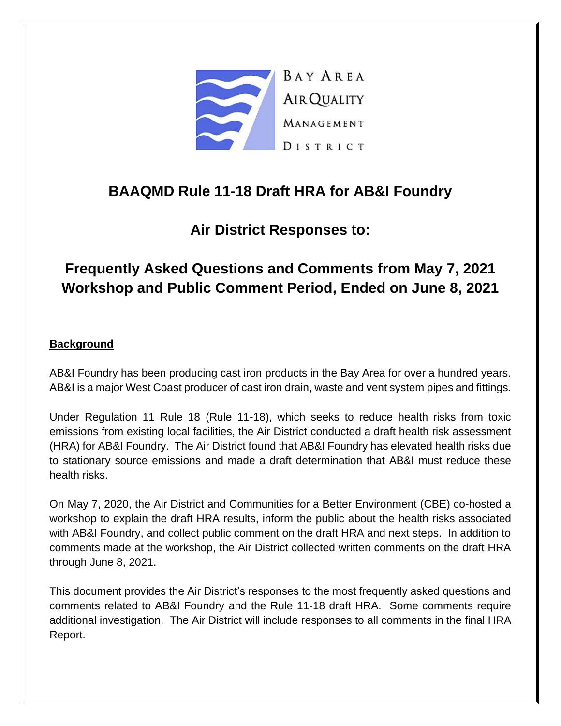

# **BAAQMD Rule 11-18 Draft HRA for AB&I Foundry**

# **Air District Responses to:**

# **Frequently Asked Questions and Comments from May 7, 2021 Workshop and Public Comment Period, Ended on June 8, 2021**

## **Background**

AB&I Foundry has been producing cast iron products in the Bay Area for over a hundred years. AB&I is a major West Coast producer of cast iron drain, waste and vent system pipes and fittings.

Under Regulation 11 Rule 18 (Rule 11-18), which seeks to reduce health risks from toxic emissions from existing local facilities, the Air District conducted a draft health risk assessment (HRA) for AB&I Foundry. The Air District found that AB&I Foundry has elevated health risks due to stationary source emissions and made a draft determination that AB&I must reduce these health risks.

On May 7, 2020, the Air District and Communities for a Better Environment (CBE) co-hosted a workshop to explain the draft HRA results, inform the public about the health risks associated with AB&I Foundry, and collect public comment on the draft HRA and next steps. In addition to comments made at the workshop, the Air District collected written comments on the draft HRA through June 8, 2021.

This document provides the Air District's responses to the most frequently asked questions and comments related to AB&I Foundry and the Rule 11-18 draft HRA. Some comments require additional investigation. The Air District will include responses to all comments in the final HRA Report.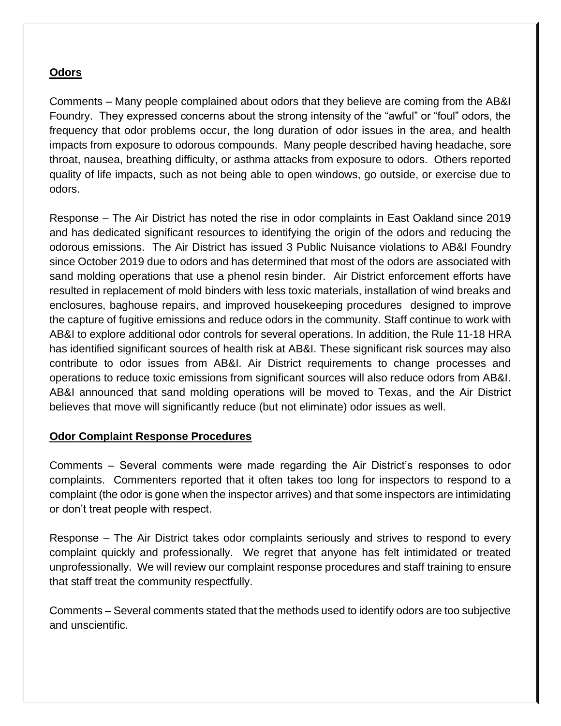#### **Odors**

Comments – Many people complained about odors that they believe are coming from the AB&I Foundry. They expressed concerns about the strong intensity of the "awful" or "foul" odors, the frequency that odor problems occur, the long duration of odor issues in the area, and health impacts from exposure to odorous compounds. Many people described having headache, sore throat, nausea, breathing difficulty, or asthma attacks from exposure to odors. Others reported quality of life impacts, such as not being able to open windows, go outside, or exercise due to odors.

Response – The Air District has noted the rise in odor complaints in East Oakland since 2019 and has dedicated significant resources to identifying the origin of the odors and reducing the odorous emissions. The Air District has issued 3 Public Nuisance violations to AB&I Foundry since October 2019 due to odors and has determined that most of the odors are associated with sand molding operations that use a phenol resin binder. Air District enforcement efforts have resulted in replacement of mold binders with less toxic materials, installation of wind breaks and enclosures, baghouse repairs, and improved housekeeping procedures designed to improve the capture of fugitive emissions and reduce odors in the community. Staff continue to work with AB&I to explore additional odor controls for several operations. In addition, the Rule 11-18 HRA has identified significant sources of health risk at AB&I. These significant risk sources may also contribute to odor issues from AB&I. Air District requirements to change processes and operations to reduce toxic emissions from significant sources will also reduce odors from AB&I. AB&I announced that sand molding operations will be moved to Texas, and the Air District believes that move will significantly reduce (but not eliminate) odor issues as well.

## **Odor Complaint Response Procedures**

Comments – Several comments were made regarding the Air District's responses to odor complaints. Commenters reported that it often takes too long for inspectors to respond to a complaint (the odor is gone when the inspector arrives) and that some inspectors are intimidating or don't treat people with respect.

Response – The Air District takes odor complaints seriously and strives to respond to every complaint quickly and professionally. We regret that anyone has felt intimidated or treated unprofessionally. We will review our complaint response procedures and staff training to ensure that staff treat the community respectfully.

Comments – Several comments stated that the methods used to identify odors are too subjective and unscientific.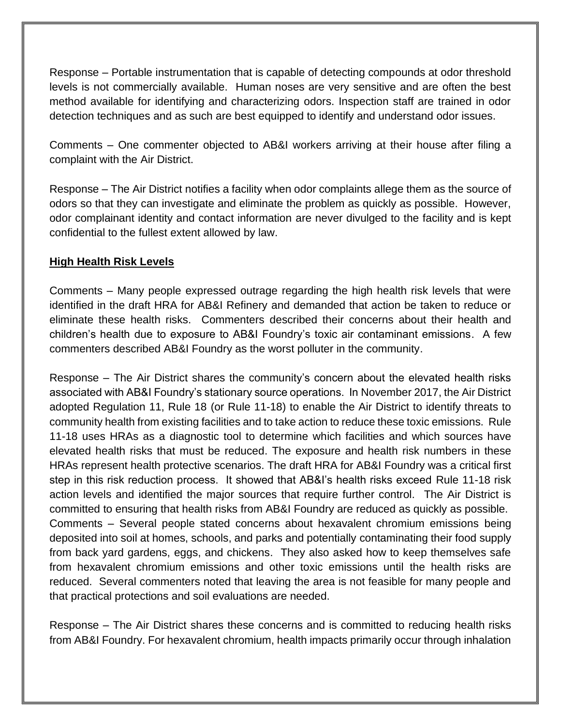Response – Portable instrumentation that is capable of detecting compounds at odor threshold levels is not commercially available. Human noses are very sensitive and are often the best method available for identifying and characterizing odors. Inspection staff are trained in odor detection techniques and as such are best equipped to identify and understand odor issues.

Comments – One commenter objected to AB&I workers arriving at their house after filing a complaint with the Air District.

Response – The Air District notifies a facility when odor complaints allege them as the source of odors so that they can investigate and eliminate the problem as quickly as possible. However, odor complainant identity and contact information are never divulged to the facility and is kept confidential to the fullest extent allowed by law.

## **High Health Risk Levels**

Comments – Many people expressed outrage regarding the high health risk levels that were identified in the draft HRA for AB&I Refinery and demanded that action be taken to reduce or eliminate these health risks. Commenters described their concerns about their health and children's health due to exposure to AB&I Foundry's toxic air contaminant emissions. A few commenters described AB&I Foundry as the worst polluter in the community.

Response – The Air District shares the community's concern about the elevated health risks associated with AB&I Foundry's stationary source operations. In November 2017, the Air District adopted Regulation 11, Rule 18 (or Rule 11-18) to enable the Air District to identify threats to community health from existing facilities and to take action to reduce these toxic emissions. Rule 11-18 uses HRAs as a diagnostic tool to determine which facilities and which sources have elevated health risks that must be reduced. The exposure and health risk numbers in these HRAs represent health protective scenarios. The draft HRA for AB&I Foundry was a critical first step in this risk reduction process. It showed that AB&I's health risks exceed Rule 11-18 risk action levels and identified the major sources that require further control. The Air District is committed to ensuring that health risks from AB&I Foundry are reduced as quickly as possible. Comments – Several people stated concerns about hexavalent chromium emissions being deposited into soil at homes, schools, and parks and potentially contaminating their food supply from back yard gardens, eggs, and chickens. They also asked how to keep themselves safe from hexavalent chromium emissions and other toxic emissions until the health risks are reduced. Several commenters noted that leaving the area is not feasible for many people and that practical protections and soil evaluations are needed.

Response – The Air District shares these concerns and is committed to reducing health risks from AB&I Foundry. For hexavalent chromium, health impacts primarily occur through inhalation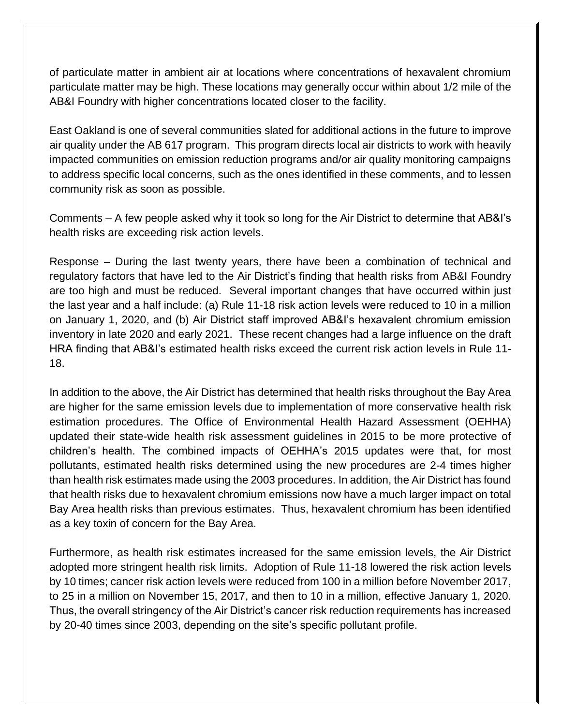of particulate matter in ambient air at locations where concentrations of hexavalent chromium particulate matter may be high. These locations may generally occur within about 1/2 mile of the AB&I Foundry with higher concentrations located closer to the facility.

East Oakland is one of several communities slated for additional actions in the future to improve air quality under the AB 617 program. This program directs local air districts to work with heavily impacted communities on emission reduction programs and/or air quality monitoring campaigns to address specific local concerns, such as the ones identified in these comments, and to lessen community risk as soon as possible.

Comments – A few people asked why it took so long for the Air District to determine that AB&I's health risks are exceeding risk action levels.

Response – During the last twenty years, there have been a combination of technical and regulatory factors that have led to the Air District's finding that health risks from AB&I Foundry are too high and must be reduced. Several important changes that have occurred within just the last year and a half include: (a) Rule 11-18 risk action levels were reduced to 10 in a million on January 1, 2020, and (b) Air District staff improved AB&I's hexavalent chromium emission inventory in late 2020 and early 2021. These recent changes had a large influence on the draft HRA finding that AB&I's estimated health risks exceed the current risk action levels in Rule 11- 18.

In addition to the above, the Air District has determined that health risks throughout the Bay Area are higher for the same emission levels due to implementation of more conservative health risk estimation procedures. The Office of Environmental Health Hazard Assessment (OEHHA) updated their state-wide health risk assessment guidelines in 2015 to be more protective of children's health. The combined impacts of OEHHA's 2015 updates were that, for most pollutants, estimated health risks determined using the new procedures are 2-4 times higher than health risk estimates made using the 2003 procedures. In addition, the Air District has found that health risks due to hexavalent chromium emissions now have a much larger impact on total Bay Area health risks than previous estimates. Thus, hexavalent chromium has been identified as a key toxin of concern for the Bay Area.

Furthermore, as health risk estimates increased for the same emission levels, the Air District adopted more stringent health risk limits. Adoption of Rule 11-18 lowered the risk action levels by 10 times; cancer risk action levels were reduced from 100 in a million before November 2017, to 25 in a million on November 15, 2017, and then to 10 in a million, effective January 1, 2020. Thus, the overall stringency of the Air District's cancer risk reduction requirements has increased by 20-40 times since 2003, depending on the site's specific pollutant profile.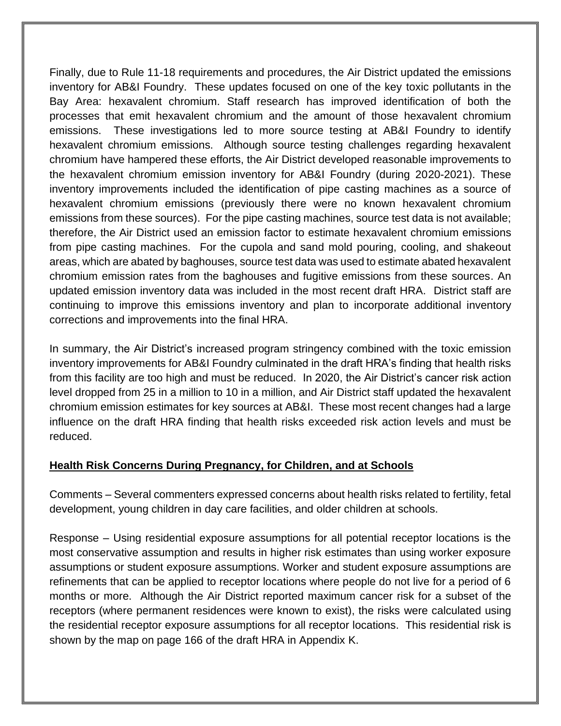Finally, due to Rule 11-18 requirements and procedures, the Air District updated the emissions inventory for AB&I Foundry. These updates focused on one of the key toxic pollutants in the Bay Area: hexavalent chromium. Staff research has improved identification of both the processes that emit hexavalent chromium and the amount of those hexavalent chromium emissions. These investigations led to more source testing at AB&I Foundry to identify hexavalent chromium emissions. Although source testing challenges regarding hexavalent chromium have hampered these efforts, the Air District developed reasonable improvements to the hexavalent chromium emission inventory for AB&I Foundry (during 2020-2021). These inventory improvements included the identification of pipe casting machines as a source of hexavalent chromium emissions (previously there were no known hexavalent chromium emissions from these sources). For the pipe casting machines, source test data is not available; therefore, the Air District used an emission factor to estimate hexavalent chromium emissions from pipe casting machines. For the cupola and sand mold pouring, cooling, and shakeout areas, which are abated by baghouses, source test data was used to estimate abated hexavalent chromium emission rates from the baghouses and fugitive emissions from these sources. An updated emission inventory data was included in the most recent draft HRA. District staff are continuing to improve this emissions inventory and plan to incorporate additional inventory corrections and improvements into the final HRA.

In summary, the Air District's increased program stringency combined with the toxic emission inventory improvements for AB&I Foundry culminated in the draft HRA's finding that health risks from this facility are too high and must be reduced. In 2020, the Air District's cancer risk action level dropped from 25 in a million to 10 in a million, and Air District staff updated the hexavalent chromium emission estimates for key sources at AB&I. These most recent changes had a large influence on the draft HRA finding that health risks exceeded risk action levels and must be reduced.

## **Health Risk Concerns During Pregnancy, for Children, and at Schools**

Comments – Several commenters expressed concerns about health risks related to fertility, fetal development, young children in day care facilities, and older children at schools.

Response – Using residential exposure assumptions for all potential receptor locations is the most conservative assumption and results in higher risk estimates than using worker exposure assumptions or student exposure assumptions. Worker and student exposure assumptions are refinements that can be applied to receptor locations where people do not live for a period of 6 months or more. Although the Air District reported maximum cancer risk for a subset of the receptors (where permanent residences were known to exist), the risks were calculated using the residential receptor exposure assumptions for all receptor locations. This residential risk is shown by the map on page 166 of the draft HRA in Appendix K.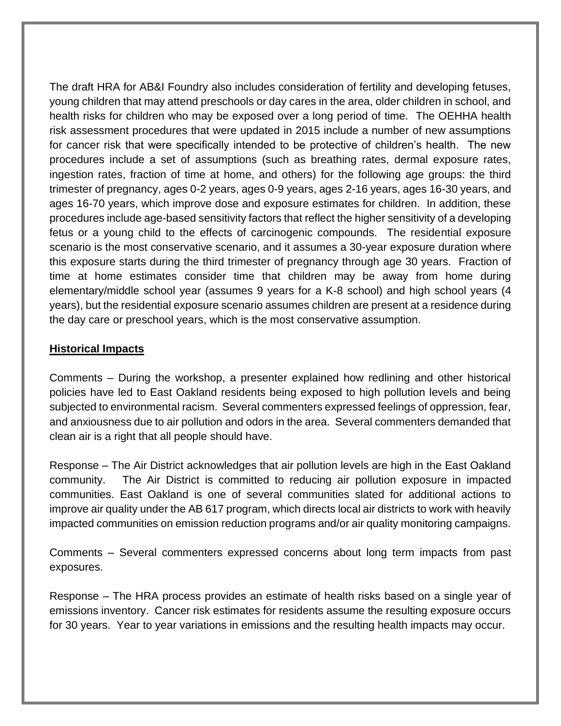The draft HRA for AB&I Foundry also includes consideration of fertility and developing fetuses, young children that may attend preschools or day cares in the area, older children in school, and health risks for children who may be exposed over a long period of time. The OEHHA health risk assessment procedures that were updated in 2015 include a number of new assumptions for cancer risk that were specifically intended to be protective of children's health. The new procedures include a set of assumptions (such as breathing rates, dermal exposure rates, ingestion rates, fraction of time at home, and others) for the following age groups: the third trimester of pregnancy, ages 0-2 years, ages 0-9 years, ages 2-16 years, ages 16-30 years, and ages 16-70 years, which improve dose and exposure estimates for children. In addition, these procedures include age-based sensitivity factors that reflect the higher sensitivity of a developing fetus or a young child to the effects of carcinogenic compounds. The residential exposure scenario is the most conservative scenario, and it assumes a 30-year exposure duration where this exposure starts during the third trimester of pregnancy through age 30 years. Fraction of time at home estimates consider time that children may be away from home during elementary/middle school year (assumes 9 years for a K-8 school) and high school years (4 years), but the residential exposure scenario assumes children are present at a residence during the day care or preschool years, which is the most conservative assumption.

#### **Historical Impacts**

Comments – During the workshop, a presenter explained how redlining and other historical policies have led to East Oakland residents being exposed to high pollution levels and being subjected to environmental racism. Several commenters expressed feelings of oppression, fear, and anxiousness due to air pollution and odors in the area. Several commenters demanded that clean air is a right that all people should have.

Response – The Air District acknowledges that air pollution levels are high in the East Oakland community. The Air District is committed to reducing air pollution exposure in impacted communities. East Oakland is one of several communities slated for additional actions to improve air quality under the AB 617 program, which directs local air districts to work with heavily impacted communities on emission reduction programs and/or air quality monitoring campaigns.

Comments – Several commenters expressed concerns about long term impacts from past exposures.

Response – The HRA process provides an estimate of health risks based on a single year of emissions inventory. Cancer risk estimates for residents assume the resulting exposure occurs for 30 years. Year to year variations in emissions and the resulting health impacts may occur.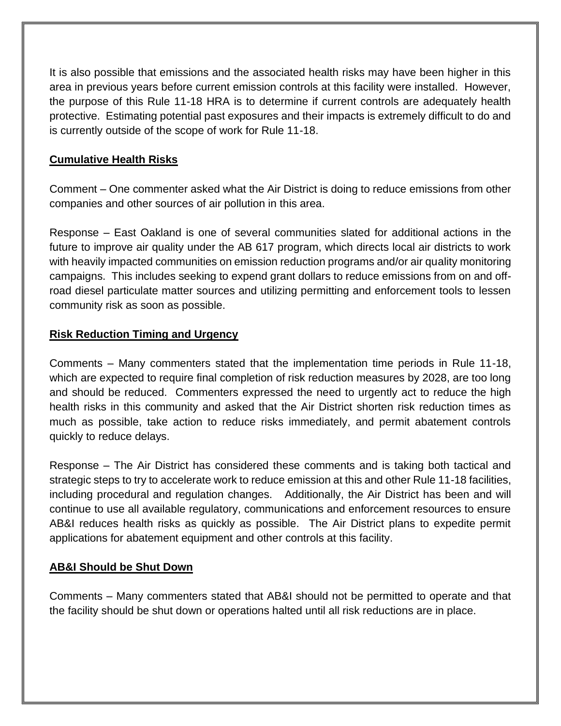It is also possible that emissions and the associated health risks may have been higher in this area in previous years before current emission controls at this facility were installed. However, the purpose of this Rule 11-18 HRA is to determine if current controls are adequately health protective. Estimating potential past exposures and their impacts is extremely difficult to do and is currently outside of the scope of work for Rule 11-18.

## **Cumulative Health Risks**

Comment – One commenter asked what the Air District is doing to reduce emissions from other companies and other sources of air pollution in this area.

Response – East Oakland is one of several communities slated for additional actions in the future to improve air quality under the AB 617 program, which directs local air districts to work with heavily impacted communities on emission reduction programs and/or air quality monitoring campaigns. This includes seeking to expend grant dollars to reduce emissions from on and offroad diesel particulate matter sources and utilizing permitting and enforcement tools to lessen community risk as soon as possible.

#### **Risk Reduction Timing and Urgency**

Comments – Many commenters stated that the implementation time periods in Rule 11-18, which are expected to require final completion of risk reduction measures by 2028, are too long and should be reduced. Commenters expressed the need to urgently act to reduce the high health risks in this community and asked that the Air District shorten risk reduction times as much as possible, take action to reduce risks immediately, and permit abatement controls quickly to reduce delays.

Response – The Air District has considered these comments and is taking both tactical and strategic steps to try to accelerate work to reduce emission at this and other Rule 11-18 facilities, including procedural and regulation changes. Additionally, the Air District has been and will continue to use all available regulatory, communications and enforcement resources to ensure AB&I reduces health risks as quickly as possible. The Air District plans to expedite permit applications for abatement equipment and other controls at this facility.

#### **AB&I Should be Shut Down**

Comments – Many commenters stated that AB&I should not be permitted to operate and that the facility should be shut down or operations halted until all risk reductions are in place.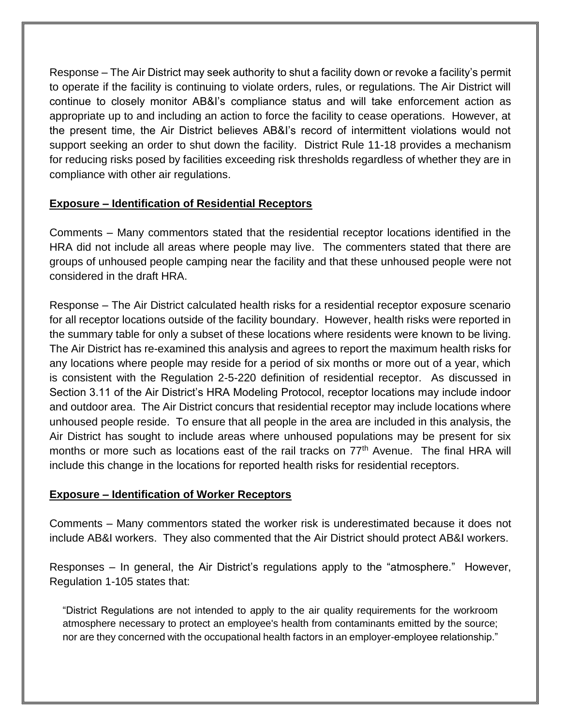Response – The Air District may seek authority to shut a facility down or revoke a facility's permit to operate if the facility is continuing to violate orders, rules, or regulations. The Air District will continue to closely monitor AB&I's compliance status and will take enforcement action as appropriate up to and including an action to force the facility to cease operations. However, at the present time, the Air District believes AB&I's record of intermittent violations would not support seeking an order to shut down the facility. District Rule 11-18 provides a mechanism for reducing risks posed by facilities exceeding risk thresholds regardless of whether they are in compliance with other air regulations.

## **Exposure – Identification of Residential Receptors**

Comments – Many commentors stated that the residential receptor locations identified in the HRA did not include all areas where people may live. The commenters stated that there are groups of unhoused people camping near the facility and that these unhoused people were not considered in the draft HRA.

Response – The Air District calculated health risks for a residential receptor exposure scenario for all receptor locations outside of the facility boundary. However, health risks were reported in the summary table for only a subset of these locations where residents were known to be living. The Air District has re-examined this analysis and agrees to report the maximum health risks for any locations where people may reside for a period of six months or more out of a year, which is consistent with the Regulation 2-5-220 definition of residential receptor. As discussed in Section 3.11 of the Air District's HRA Modeling Protocol, receptor locations may include indoor and outdoor area. The Air District concurs that residential receptor may include locations where unhoused people reside. To ensure that all people in the area are included in this analysis, the Air District has sought to include areas where unhoused populations may be present for six months or more such as locations east of the rail tracks on 77<sup>th</sup> Avenue. The final HRA will include this change in the locations for reported health risks for residential receptors.

## **Exposure – Identification of Worker Receptors**

Comments – Many commentors stated the worker risk is underestimated because it does not include AB&I workers. They also commented that the Air District should protect AB&I workers.

Responses – In general, the Air District's regulations apply to the "atmosphere." However, Regulation 1-105 states that:

"District Regulations are not intended to apply to the air quality requirements for the workroom atmosphere necessary to protect an employee's health from contaminants emitted by the source; nor are they concerned with the occupational health factors in an employer-employee relationship."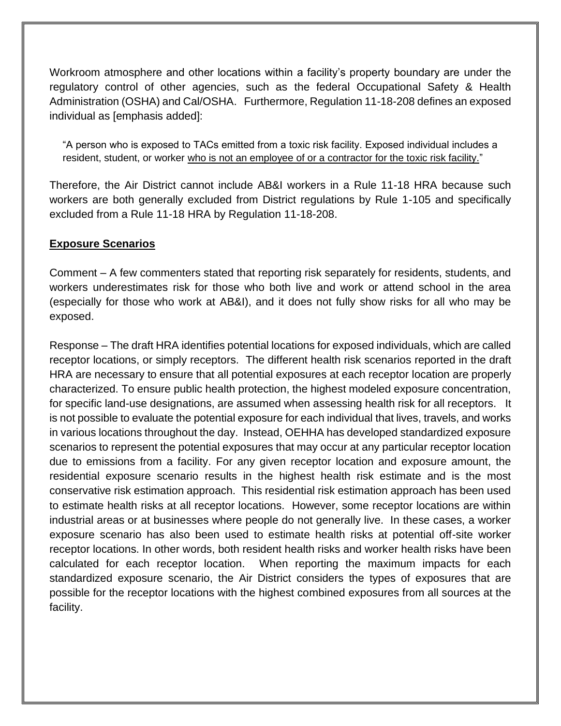Workroom atmosphere and other locations within a facility's property boundary are under the regulatory control of other agencies, such as the federal Occupational Safety & Health Administration (OSHA) and Cal/OSHA. Furthermore, Regulation 11-18-208 defines an exposed individual as [emphasis added]:

"A person who is exposed to TACs emitted from a toxic risk facility. Exposed individual includes a resident, student, or worker who is not an employee of or a contractor for the toxic risk facility."

Therefore, the Air District cannot include AB&I workers in a Rule 11-18 HRA because such workers are both generally excluded from District regulations by Rule 1-105 and specifically excluded from a Rule 11-18 HRA by Regulation 11-18-208.

## **Exposure Scenarios**

Comment – A few commenters stated that reporting risk separately for residents, students, and workers underestimates risk for those who both live and work or attend school in the area (especially for those who work at AB&I), and it does not fully show risks for all who may be exposed.

Response – The draft HRA identifies potential locations for exposed individuals, which are called receptor locations, or simply receptors. The different health risk scenarios reported in the draft HRA are necessary to ensure that all potential exposures at each receptor location are properly characterized. To ensure public health protection, the highest modeled exposure concentration, for specific land-use designations, are assumed when assessing health risk for all receptors. It is not possible to evaluate the potential exposure for each individual that lives, travels, and works in various locations throughout the day. Instead, OEHHA has developed standardized exposure scenarios to represent the potential exposures that may occur at any particular receptor location due to emissions from a facility. For any given receptor location and exposure amount, the residential exposure scenario results in the highest health risk estimate and is the most conservative risk estimation approach. This residential risk estimation approach has been used to estimate health risks at all receptor locations. However, some receptor locations are within industrial areas or at businesses where people do not generally live. In these cases, a worker exposure scenario has also been used to estimate health risks at potential off-site worker receptor locations. In other words, both resident health risks and worker health risks have been calculated for each receptor location. When reporting the maximum impacts for each standardized exposure scenario, the Air District considers the types of exposures that are possible for the receptor locations with the highest combined exposures from all sources at the facility.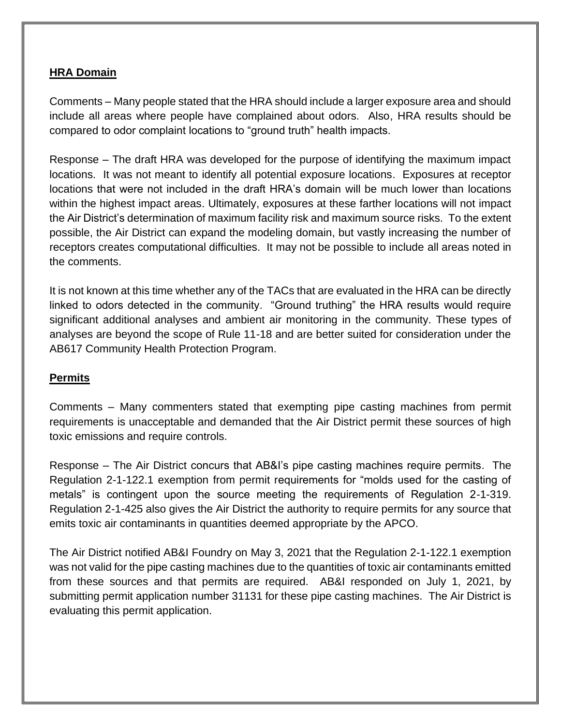#### **HRA Domain**

Comments – Many people stated that the HRA should include a larger exposure area and should include all areas where people have complained about odors. Also, HRA results should be compared to odor complaint locations to "ground truth" health impacts.

Response – The draft HRA was developed for the purpose of identifying the maximum impact locations. It was not meant to identify all potential exposure locations. Exposures at receptor locations that were not included in the draft HRA's domain will be much lower than locations within the highest impact areas. Ultimately, exposures at these farther locations will not impact the Air District's determination of maximum facility risk and maximum source risks. To the extent possible, the Air District can expand the modeling domain, but vastly increasing the number of receptors creates computational difficulties. It may not be possible to include all areas noted in the comments.

It is not known at this time whether any of the TACs that are evaluated in the HRA can be directly linked to odors detected in the community. "Ground truthing" the HRA results would require significant additional analyses and ambient air monitoring in the community. These types of analyses are beyond the scope of Rule 11-18 and are better suited for consideration under the AB617 Community Health Protection Program.

## **Permits**

Comments – Many commenters stated that exempting pipe casting machines from permit requirements is unacceptable and demanded that the Air District permit these sources of high toxic emissions and require controls.

Response – The Air District concurs that AB&I's pipe casting machines require permits. The Regulation 2-1-122.1 exemption from permit requirements for "molds used for the casting of metals" is contingent upon the source meeting the requirements of Regulation 2-1-319. Regulation 2-1-425 also gives the Air District the authority to require permits for any source that emits toxic air contaminants in quantities deemed appropriate by the APCO.

The Air District notified AB&I Foundry on May 3, 2021 that the Regulation 2-1-122.1 exemption was not valid for the pipe casting machines due to the quantities of toxic air contaminants emitted from these sources and that permits are required. AB&I responded on July 1, 2021, by submitting permit application number 31131 for these pipe casting machines. The Air District is evaluating this permit application.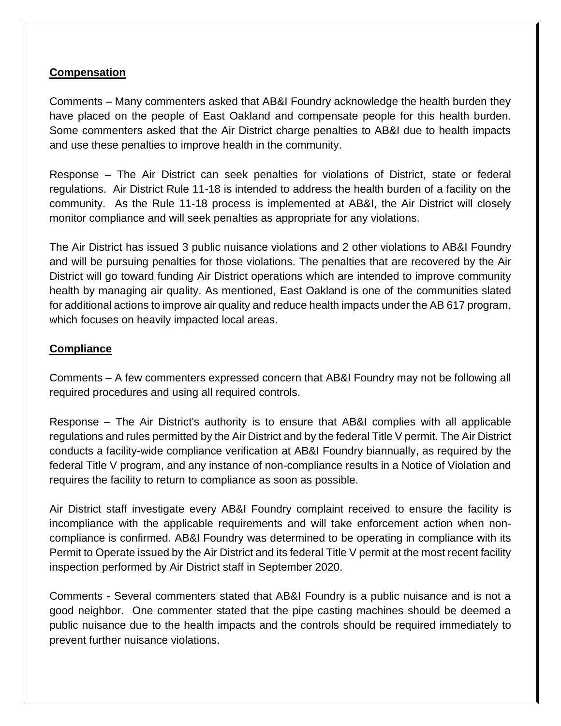## **Compensation**

Comments – Many commenters asked that AB&I Foundry acknowledge the health burden they have placed on the people of East Oakland and compensate people for this health burden. Some commenters asked that the Air District charge penalties to AB&I due to health impacts and use these penalties to improve health in the community.

Response – The Air District can seek penalties for violations of District, state or federal regulations. Air District Rule 11-18 is intended to address the health burden of a facility on the community. As the Rule 11-18 process is implemented at AB&I, the Air District will closely monitor compliance and will seek penalties as appropriate for any violations.

The Air District has issued 3 public nuisance violations and 2 other violations to AB&I Foundry and will be pursuing penalties for those violations. The penalties that are recovered by the Air District will go toward funding Air District operations which are intended to improve community health by managing air quality. As mentioned, East Oakland is one of the communities slated for additional actions to improve air quality and reduce health impacts under the AB 617 program, which focuses on heavily impacted local areas.

#### **Compliance**

Comments – A few commenters expressed concern that AB&I Foundry may not be following all required procedures and using all required controls.

Response – The Air District's authority is to ensure that AB&I complies with all applicable regulations and rules permitted by the Air District and by the federal Title V permit. The Air District conducts a facility-wide compliance verification at AB&I Foundry biannually, as required by the federal Title V program, and any instance of non-compliance results in a Notice of Violation and requires the facility to return to compliance as soon as possible.

Air District staff investigate every AB&I Foundry complaint received to ensure the facility is incompliance with the applicable requirements and will take enforcement action when noncompliance is confirmed. AB&I Foundry was determined to be operating in compliance with its Permit to Operate issued by the Air District and its federal Title V permit at the most recent facility inspection performed by Air District staff in September 2020.

Comments - Several commenters stated that AB&I Foundry is a public nuisance and is not a good neighbor. One commenter stated that the pipe casting machines should be deemed a public nuisance due to the health impacts and the controls should be required immediately to prevent further nuisance violations.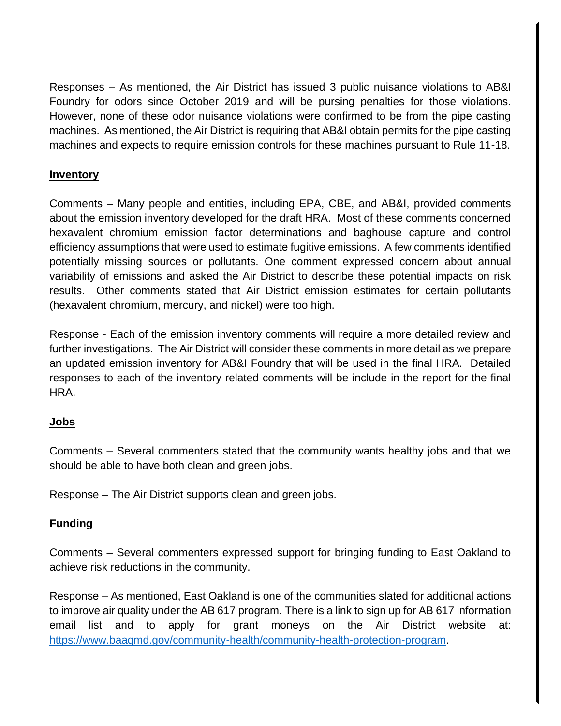Responses – As mentioned, the Air District has issued 3 public nuisance violations to AB&I Foundry for odors since October 2019 and will be pursing penalties for those violations. However, none of these odor nuisance violations were confirmed to be from the pipe casting machines. As mentioned, the Air District is requiring that AB&I obtain permits for the pipe casting machines and expects to require emission controls for these machines pursuant to Rule 11-18.

#### **Inventory**

Comments – Many people and entities, including EPA, CBE, and AB&I, provided comments about the emission inventory developed for the draft HRA. Most of these comments concerned hexavalent chromium emission factor determinations and baghouse capture and control efficiency assumptions that were used to estimate fugitive emissions. A few comments identified potentially missing sources or pollutants. One comment expressed concern about annual variability of emissions and asked the Air District to describe these potential impacts on risk results. Other comments stated that Air District emission estimates for certain pollutants (hexavalent chromium, mercury, and nickel) were too high.

Response - Each of the emission inventory comments will require a more detailed review and further investigations. The Air District will consider these comments in more detail as we prepare an updated emission inventory for AB&I Foundry that will be used in the final HRA. Detailed responses to each of the inventory related comments will be include in the report for the final HRA.

#### **Jobs**

Comments – Several commenters stated that the community wants healthy jobs and that we should be able to have both clean and green jobs.

Response – The Air District supports clean and green jobs.

## **Funding**

Comments – Several commenters expressed support for bringing funding to East Oakland to achieve risk reductions in the community.

Response – As mentioned, East Oakland is one of the communities slated for additional actions to improve air quality under the AB 617 program. There is a link to sign up for AB 617 information email list and to apply for grant moneys on the Air District website at: [https://www.baaqmd.gov/community-health/community-health-protection-program.](https://www.baaqmd.gov/community-health/community-health-protection-program)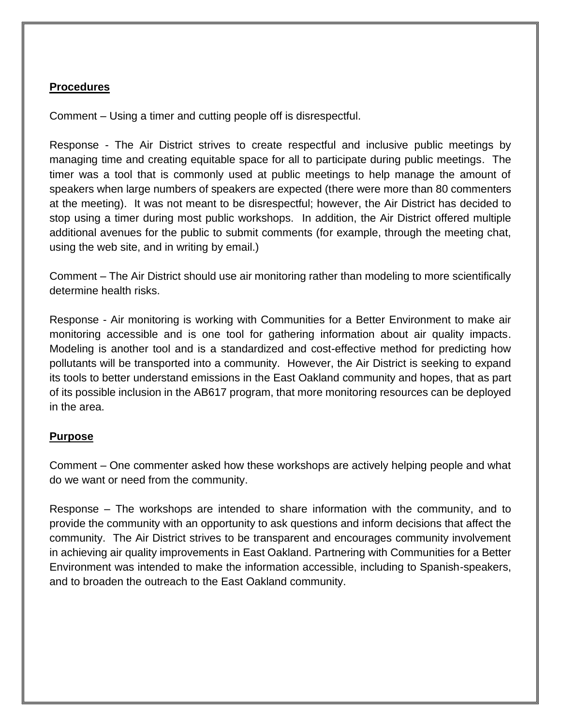## **Procedures**

Comment – Using a timer and cutting people off is disrespectful.

Response - The Air District strives to create respectful and inclusive public meetings by managing time and creating equitable space for all to participate during public meetings. The timer was a tool that is commonly used at public meetings to help manage the amount of speakers when large numbers of speakers are expected (there were more than 80 commenters at the meeting). It was not meant to be disrespectful; however, the Air District has decided to stop using a timer during most public workshops. In addition, the Air District offered multiple additional avenues for the public to submit comments (for example, through the meeting chat, using the web site, and in writing by email.)

Comment – The Air District should use air monitoring rather than modeling to more scientifically determine health risks.

Response - Air monitoring is working with Communities for a Better Environment to make air monitoring accessible and is one tool for gathering information about air quality impacts. Modeling is another tool and is a standardized and cost-effective method for predicting how pollutants will be transported into a community. However, the Air District is seeking to expand its tools to better understand emissions in the East Oakland community and hopes, that as part of its possible inclusion in the AB617 program, that more monitoring resources can be deployed in the area.

## **Purpose**

Comment – One commenter asked how these workshops are actively helping people and what do we want or need from the community.

Response – The workshops are intended to share information with the community, and to provide the community with an opportunity to ask questions and inform decisions that affect the community. The Air District strives to be transparent and encourages community involvement in achieving air quality improvements in East Oakland. Partnering with Communities for a Better Environment was intended to make the information accessible, including to Spanish-speakers, and to broaden the outreach to the East Oakland community.